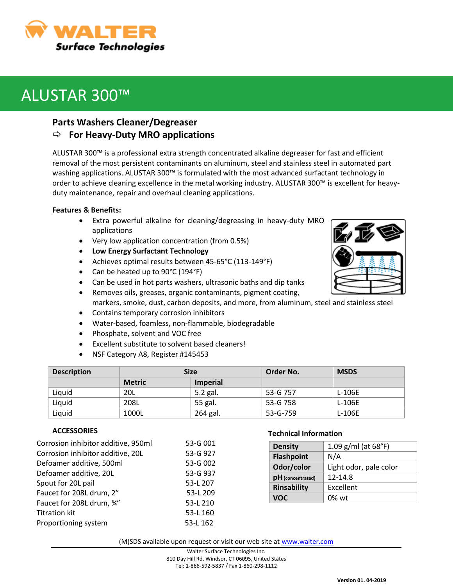

# ALUSTAR 300™

## **Parts Washers Cleaner/Degreaser**

## **For Heavy-Duty MRO applications**

ALUSTAR 300™ is a professional extra strength concentrated alkaline degreaser for fast and efficient removal of the most persistent contaminants on aluminum, steel and stainless steel in automated part washing applications. ALUSTAR 300™ is formulated with the most advanced surfactant technology in order to achieve cleaning excellence in the metal working industry. ALUSTAR 300™ is excellent for heavyduty maintenance, repair and overhaul cleaning applications.

### **Features & Benefits:**

- Extra powerful alkaline for cleaning/degreasing in heavy-duty MRO applications
- Very low application concentration (from 0.5%)
- **Low Energy Surfactant Technology**
- Achieves optimal results between 45-65°C (113-149°F)
- Can be heated up to 90°C (194°F)
- Can be used in hot parts washers, ultrasonic baths and dip tanks
- Removes oils, greases, organic contaminants, pigment coating, markers, smoke, dust, carbon deposits, and more, from aluminum, steel and stainless steel
- Contains temporary corrosion inhibitors
- Water-based, foamless, non-flammable, biodegradable
- Phosphate, solvent and VOC free
- Excellent substitute to solvent based cleaners!
- NSF Category A8, Register #145453

| <b>Description</b> | <b>Size</b>   |                 | Order No. | <b>MSDS</b> |
|--------------------|---------------|-----------------|-----------|-------------|
|                    | <b>Metric</b> | <b>Imperial</b> |           |             |
| Liquid             | 20L           | 5.2 gal.        | 53-G 757  | L-106E      |
| Liquid             | 208L          | 55 gal.         | 53-G 758  | L-106E      |
| Liquid             | 1000L         | 264 gal.        | 53-G-759  | L-106E      |

### **ACCESSORIES**

| Corrosion inhibitor additive, 950ml | 53-G 001 |
|-------------------------------------|----------|
| Corrosion inhibitor additive, 20L   | 53-G 927 |
| Defoamer additive, 500ml            | 53-G 002 |
| Defoamer additive, 20L              | 53-G 937 |
| Spout for 20L pail                  | 53-L 207 |
| Faucet for 208L drum, 2"            | 53-L 209 |
| Faucet for 208L drum, 34"           | 53-L 210 |
| <b>Titration kit</b>                | 53-L 160 |
| Proportioning system                | 53-L 162 |
|                                     |          |

### **Technical Information**

| <b>Density</b>     | 1.09 $g/ml$ (at 68°F)  |  |
|--------------------|------------------------|--|
| <b>Flashpoint</b>  | N/A                    |  |
| Odor/color         | Light odor, pale color |  |
| pH (concentrated)  | 12-14.8                |  |
| <b>Rinsability</b> | Excellent              |  |
| VOC                | $0\%$ wt               |  |

(M)SDS available upon request or visit our web site at [www.walter.com](http://www.walter.com/)

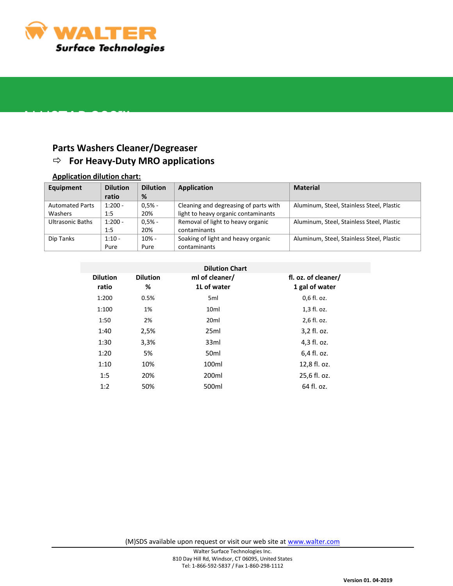

## **Parts Washers Cleaner/Degreaser For Heavy-Duty MRO applications**

### **Application dilution chart:**

 $\overline{\phantom{a}}$ 

| Equipment              | <b>Dilution</b> | <b>Dilution</b> | <b>Application</b>                    | <b>Material</b>                           |
|------------------------|-----------------|-----------------|---------------------------------------|-------------------------------------------|
|                        | ratio           | %               |                                       |                                           |
| <b>Automated Parts</b> | $1:200 -$       | $0.5% -$        | Cleaning and degreasing of parts with | Aluminum, Steel, Stainless Steel, Plastic |
| Washers                | 1:5             | 20%             | light to heavy organic contaminants   |                                           |
| Ultrasonic Baths       | $1:200 -$       | $0.5% -$        | Removal of light to heavy organic     | Aluminum, Steel, Stainless Steel, Plastic |
|                        | 1:5             | 20%             | contaminants                          |                                           |
| Dip Tanks              | $1:10 -$        | $10% -$         | Soaking of light and heavy organic    | Aluminum, Steel, Stainless Steel, Plastic |
|                        | Pure            | Pure            | contaminants                          |                                           |

| <b>Dilution</b><br>ratio | <b>Dilution</b><br>% | ml of cleaner/<br>1L of water | fl. oz. of cleaner/<br>1 gal of water |
|--------------------------|----------------------|-------------------------------|---------------------------------------|
| 1:200                    | 0.5%                 | 5 <sub>ml</sub>               | 0,6 fl. oz.                           |
| 1:100                    | 1%                   | 10 <sub>ml</sub>              | 1,3 fl. oz.                           |
| 1:50                     | 2%                   | 20 <sub>ml</sub>              | 2,6 fl. oz.                           |
| 1:40                     | 2,5%                 | 25ml                          | 3,2 fl. oz.                           |
| 1:30                     | 3,3%                 | 33ml                          | 4,3 fl. oz.                           |
| 1:20                     | 5%                   | 50 <sub>ml</sub>              | 6,4 fl. oz.                           |
| 1:10                     | 10%                  | 100ml                         | 12,8 fl. oz.                          |
| 1:5                      | 20%                  | 200ml                         | 25,6 fl. oz.                          |
| 1:2                      | 50%                  | 500ml                         | 64 fl. oz.                            |
|                          |                      |                               |                                       |

(M)SDS available upon request or visit our web site at [www.walter.com](http://www.walter.com/)